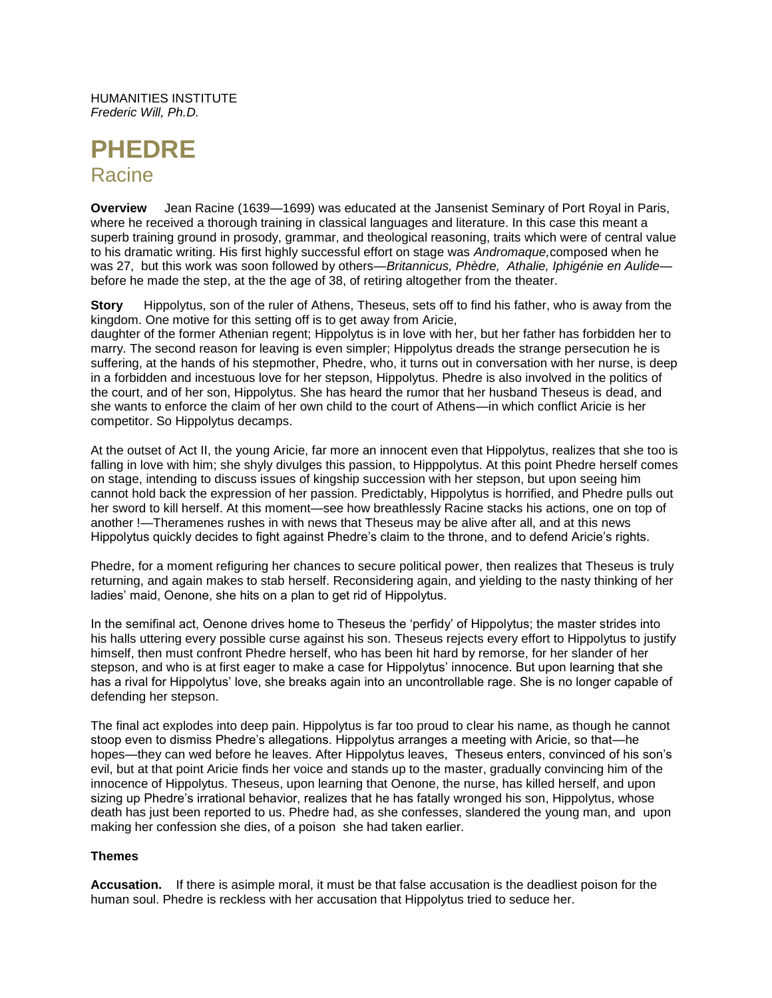HUMANITIES INSTITUTE *Frederic Will, Ph.D.*

# **PHEDRE Racine**

**Overview** Jean Racine (1639—1699) was educated at the Jansenist Seminary of Port Royal in Paris, where he received a thorough training in classical languages and literature. In this case this meant a superb training ground in prosody, grammar, and theological reasoning, traits which were of central value to his dramatic writing. His first highly successful effort on stage was *Andromaque,*composed when he was 27, but this work was soon followed by others—*Britannicus, Phèdre, Athalie, Iphigénie en Aulide* before he made the step, at the the age of 38, of retiring altogether from the theater.

**Story** Hippolytus, son of the ruler of Athens, Theseus, sets off to find his father, who is away from the kingdom. One motive for this setting off is to get away from Aricie,

daughter of the former Athenian regent; Hippolytus is in love with her, but her father has forbidden her to marry. The second reason for leaving is even simpler; Hippolytus dreads the strange persecution he is suffering, at the hands of his stepmother, Phedre, who, it turns out in conversation with her nurse, is deep in a forbidden and incestuous love for her stepson, Hippolytus. Phedre is also involved in the politics of the court, and of her son, Hippolytus. She has heard the rumor that her husband Theseus is dead, and she wants to enforce the claim of her own child to the court of Athens—in which conflict Aricie is her competitor. So Hippolytus decamps.

At the outset of Act II, the young Aricie, far more an innocent even that Hippolytus, realizes that she too is falling in love with him; she shyly divulges this passion, to Hipppolytus. At this point Phedre herself comes on stage, intending to discuss issues of kingship succession with her stepson, but upon seeing him cannot hold back the expression of her passion. Predictably, Hippolytus is horrified, and Phedre pulls out her sword to kill herself. At this moment—see how breathlessly Racine stacks his actions, one on top of another !—Theramenes rushes in with news that Theseus may be alive after all, and at this news Hippolytus quickly decides to fight against Phedre's claim to the throne, and to defend Aricie's rights.

Phedre, for a moment refiguring her chances to secure political power, then realizes that Theseus is truly returning, and again makes to stab herself. Reconsidering again, and yielding to the nasty thinking of her ladies' maid, Oenone, she hits on a plan to get rid of Hippolytus.

In the semifinal act, Oenone drives home to Theseus the 'perfidy' of Hippolytus; the master strides into his halls uttering every possible curse against his son. Theseus rejects every effort to Hippolytus to justify himself, then must confront Phedre herself, who has been hit hard by remorse, for her slander of her stepson, and who is at first eager to make a case for Hippolytus' innocence. But upon learning that she has a rival for Hippolytus' love, she breaks again into an uncontrollable rage. She is no longer capable of defending her stepson.

The final act explodes into deep pain. Hippolytus is far too proud to clear his name, as though he cannot stoop even to dismiss Phedre's allegations. Hippolytus arranges a meeting with Aricie, so that—he hopes—they can wed before he leaves. After Hippolytus leaves, Theseus enters, convinced of his son's evil, but at that point Aricie finds her voice and stands up to the master, gradually convincing him of the innocence of Hippolytus. Theseus, upon learning that Oenone, the nurse, has killed herself, and upon sizing up Phedre's irrational behavior, realizes that he has fatally wronged his son, Hippolytus, whose death has just been reported to us. Phedre had, as she confesses, slandered the young man, and upon making her confession she dies, of a poison she had taken earlier.

# **Themes**

**Accusation.** If there is asimple moral, it must be that false accusation is the deadliest poison for the human soul. Phedre is reckless with her accusation that Hippolytus tried to seduce her.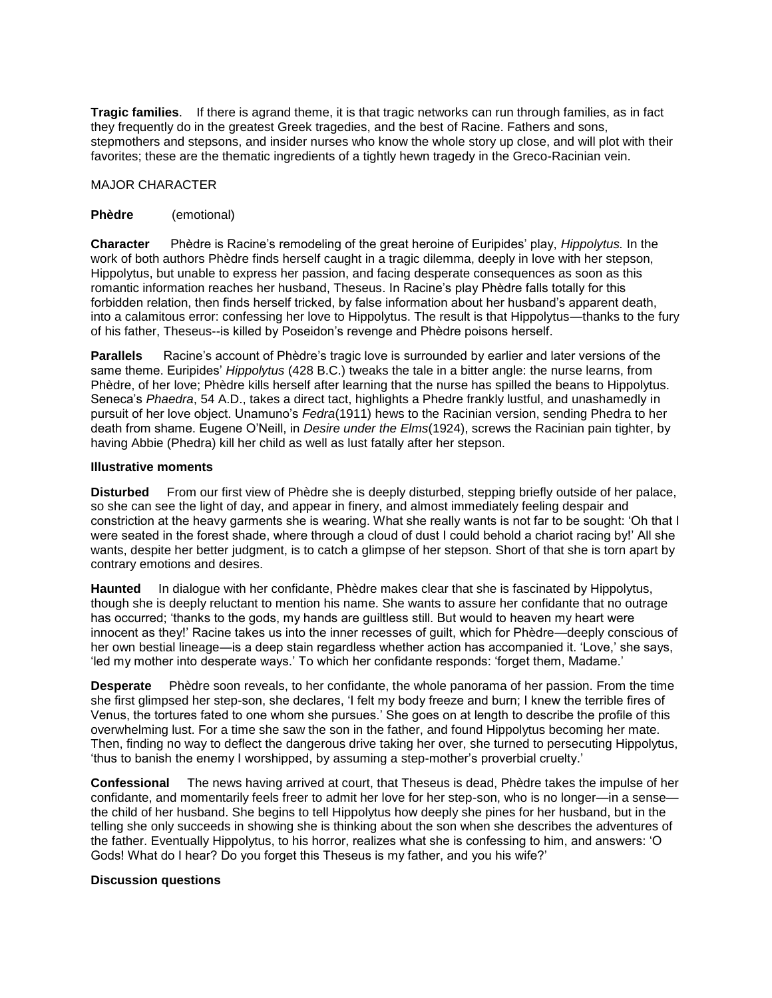**Tragic families**. If there is agrand theme, it is that tragic networks can run through families, as in fact they frequently do in the greatest Greek tragedies, and the best of Racine. Fathers and sons, stepmothers and stepsons, and insider nurses who know the whole story up close, and will plot with their favorites; these are the thematic ingredients of a tightly hewn tragedy in the Greco-Racinian vein.

# MAJOR CHARACTER

# **Phèdre** (emotional)

**Character** Phèdre is Racine's remodeling of the great heroine of Euripides' play, *Hippolytus.* In the work of both authors Phèdre finds herself caught in a tragic dilemma, deeply in love with her stepson, Hippolytus, but unable to express her passion, and facing desperate consequences as soon as this romantic information reaches her husband, Theseus. In Racine's play Phèdre falls totally for this forbidden relation, then finds herself tricked, by false information about her husband's apparent death, into a calamitous error: confessing her love to Hippolytus. The result is that Hippolytus—thanks to the fury of his father, Theseus--is killed by Poseidon's revenge and Phèdre poisons herself.

**Parallels** Racine's account of Phèdre's tragic love is surrounded by earlier and later versions of the same theme. Euripides' *Hippolytus* (428 B.C.) tweaks the tale in a bitter angle: the nurse learns, from Phèdre, of her love; Phèdre kills herself after learning that the nurse has spilled the beans to Hippolytus. Seneca's *Phaedra*, 54 A.D., takes a direct tact, highlights a Phedre frankly lustful, and unashamedly in pursuit of her love object. Unamuno's *Fedra*(1911) hews to the Racinian version, sending Phedra to her death from shame. Eugene O'Neill, in *Desire under the Elms*(1924), screws the Racinian pain tighter, by having Abbie (Phedra) kill her child as well as lust fatally after her stepson.

# **Illustrative moments**

**Disturbed** From our first view of Phèdre she is deeply disturbed, stepping briefly outside of her palace, so she can see the light of day, and appear in finery, and almost immediately feeling despair and constriction at the heavy garments she is wearing. What she really wants is not far to be sought: 'Oh that I were seated in the forest shade, where through a cloud of dust I could behold a chariot racing by!' All she wants, despite her better judgment, is to catch a glimpse of her stepson. Short of that she is torn apart by contrary emotions and desires.

**Haunted** In dialogue with her confidante, Phèdre makes clear that she is fascinated by Hippolytus, though she is deeply reluctant to mention his name. She wants to assure her confidante that no outrage has occurred; 'thanks to the gods, my hands are guiltless still. But would to heaven my heart were innocent as they!' Racine takes us into the inner recesses of guilt, which for Phèdre—deeply conscious of her own bestial lineage—is a deep stain regardless whether action has accompanied it. 'Love,' she says, 'led my mother into desperate ways.' To which her confidante responds: 'forget them, Madame.'

**Desperate** Phèdre soon reveals, to her confidante, the whole panorama of her passion. From the time she first glimpsed her step-son, she declares, 'I felt my body freeze and burn; I knew the terrible fires of Venus, the tortures fated to one whom she pursues.' She goes on at length to describe the profile of this overwhelming lust. For a time she saw the son in the father, and found Hippolytus becoming her mate. Then, finding no way to deflect the dangerous drive taking her over, she turned to persecuting Hippolytus, 'thus to banish the enemy I worshipped, by assuming a step-mother's proverbial cruelty.'

**Confessional** The news having arrived at court, that Theseus is dead, Phèdre takes the impulse of her confidante, and momentarily feels freer to admit her love for her step-son, who is no longer—in a sensethe child of her husband. She begins to tell Hippolytus how deeply she pines for her husband, but in the telling she only succeeds in showing she is thinking about the son when she describes the adventures of the father. Eventually Hippolytus, to his horror, realizes what she is confessing to him, and answers: 'O Gods! What do I hear? Do you forget this Theseus is my father, and you his wife?'

# **Discussion questions**